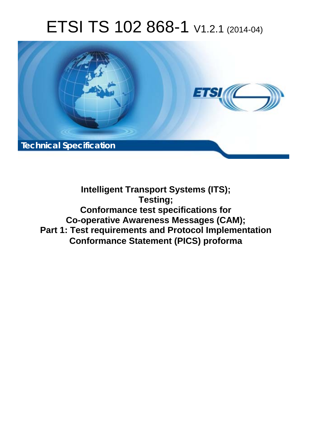# ETSI TS 102 868-1 V1.2.1 (2014-04)



**Intelligent Transport Systems (ITS); Testing; Conformance test specifications for Co-operative Awareness Messages (CAM); Part 1: Test requirements and Protocol Implementation Conformance Statement (PICS) proforma**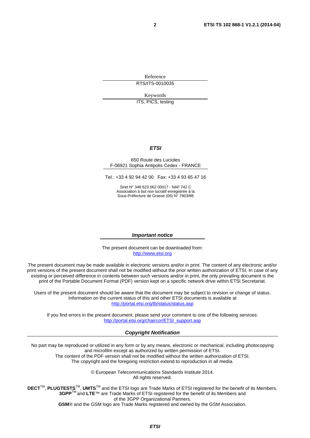Reference RTS/ITS-0010035

Keywords

ITS, PICS, testing

#### *ETSI*

#### 650 Route des Lucioles F-06921 Sophia Antipolis Cedex - FRANCE

Tel.: +33 4 92 94 42 00 Fax: +33 4 93 65 47 16

Siret N° 348 623 562 00017 - NAF 742 C Association à but non lucratif enregistrée à la Sous-Préfecture de Grasse (06) N° 7803/88

#### *Important notice*

The present document can be downloaded from: [http://www.etsi.org](http://www.etsi.org/)

The present document may be made available in electronic versions and/or in print. The content of any electronic and/or print versions of the present document shall not be modified without the prior written authorization of ETSI. In case of any existing or perceived difference in contents between such versions and/or in print, the only prevailing document is the print of the Portable Document Format (PDF) version kept on a specific network drive within ETSI Secretariat.

Users of the present document should be aware that the document may be subject to revision or change of status. Information on the current status of this and other ETSI documents is available at <http://portal.etsi.org/tb/status/status.asp>

If you find errors in the present document, please send your comment to one of the following services: [http://portal.etsi.org/chaircor/ETSI\\_support.asp](http://portal.etsi.org/chaircor/ETSI_support.asp)

#### *Copyright Notification*

No part may be reproduced or utilized in any form or by any means, electronic or mechanical, including photocopying and microfilm except as authorized by written permission of ETSI.

The content of the PDF version shall not be modified without the written authorization of ETSI. The copyright and the foregoing restriction extend to reproduction in all media.

> © European Telecommunications Standards Institute 2014. All rights reserved.

**DECT**TM, **PLUGTESTS**TM, **UMTS**TM and the ETSI logo are Trade Marks of ETSI registered for the benefit of its Members. **3GPP**TM and **LTE**™ are Trade Marks of ETSI registered for the benefit of its Members and of the 3GPP Organizational Partners.

**GSM**® and the GSM logo are Trade Marks registered and owned by the GSM Association.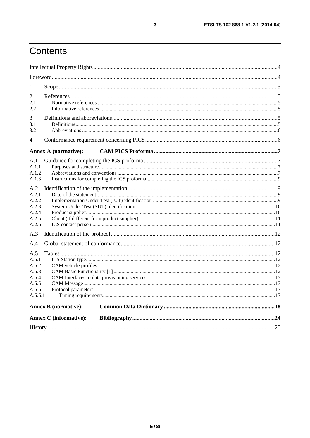# Contents

| 1                                                                    |                               |  |
|----------------------------------------------------------------------|-------------------------------|--|
| 2<br>2.1<br>2.2                                                      |                               |  |
| 3<br>3.1<br>3.2                                                      |                               |  |
| $\overline{\mathcal{A}}$                                             |                               |  |
|                                                                      | <b>Annex A (normative):</b>   |  |
| A.1<br>A.1.1<br>A.1.2<br>A.1.3                                       |                               |  |
| A.2<br>A.2.1<br>A.2.2<br>A.2.3<br>A.2.4<br>A.2.5<br>A.2.6            |                               |  |
| A.3                                                                  |                               |  |
| A.4                                                                  |                               |  |
| A.5<br>A.5.1<br>A.5.2<br>A.5.3<br>A.5.4<br>A.5.5<br>A.5.6<br>A.5.6.1 |                               |  |
|                                                                      | <b>Annex B</b> (normative):   |  |
|                                                                      | <b>Annex C</b> (informative): |  |
|                                                                      |                               |  |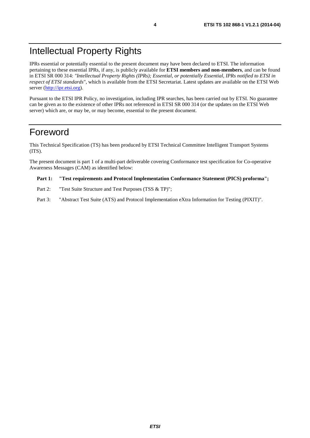### Intellectual Property Rights

IPRs essential or potentially essential to the present document may have been declared to ETSI. The information pertaining to these essential IPRs, if any, is publicly available for **ETSI members and non-members**, and can be found in ETSI SR 000 314: *"Intellectual Property Rights (IPRs); Essential, or potentially Essential, IPRs notified to ETSI in respect of ETSI standards"*, which is available from the ETSI Secretariat. Latest updates are available on the ETSI Web server [\(http://ipr.etsi.org](http://webapp.etsi.org/IPR/home.asp)).

Pursuant to the ETSI IPR Policy, no investigation, including IPR searches, has been carried out by ETSI. No guarantee can be given as to the existence of other IPRs not referenced in ETSI SR 000 314 (or the updates on the ETSI Web server) which are, or may be, or may become, essential to the present document.

### Foreword

This Technical Specification (TS) has been produced by ETSI Technical Committee Intelligent Transport Systems (ITS).

The present document is part 1 of a multi-part deliverable covering Conformance test specification for Co-operative Awareness Messages (CAM) as identified below:

#### **Part 1: "Test requirements and Protocol Implementation Conformance Statement (PICS) proforma";**

- Part 2: "Test Suite Structure and Test Purposes (TSS & TP)";
- Part 3: "Abstract Test Suite (ATS) and Protocol Implementation eXtra Information for Testing (PIXIT)".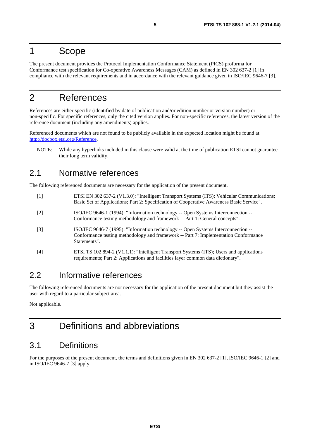### 1 Scope

The present document provides the Protocol Implementation Conformance Statement (PICS) proforma for Conformance test specification for Co-operative Awareness Messages (CAM) as defined in EN 302 637-2 [1] in compliance with the relevant requirements and in accordance with the relevant guidance given in ISO/IEC 9646-7 [3].

### 2 References

References are either specific (identified by date of publication and/or edition number or version number) or non-specific. For specific references, only the cited version applies. For non-specific references, the latest version of the reference document (including any amendments) applies.

Referenced documents which are not found to be publicly available in the expected location might be found at <http://docbox.etsi.org/Reference>.

NOTE: While any hyperlinks included in this clause were valid at the time of publication ETSI cannot guarantee their long term validity.

### 2.1 Normative references

The following referenced documents are necessary for the application of the present document.

- [1] ETSI EN 302 637-2 (V1.3.0): "Intelligent Transport Systems (ITS); Vehicular Communications; Basic Set of Applications; Part 2: Specification of Cooperative Awareness Basic Service".
- [2] ISO/IEC 9646-1 (1994): "Information technology -- Open Systems Interconnection -- Conformance testing methodology and framework -- Part 1: General concepts".
- [3] ISO/IEC 9646-7 (1995): "Information technology -- Open Systems Interconnection -- Conformance testing methodology and framework -- Part 7: Implementation Conformance Statements".
- [4] ETSI TS 102 894-2 (V1.1.1): "Intelligent Transport Systems (ITS); Users and applications requirements; Part 2: Applications and facilities layer common data dictionary".

### 2.2 Informative references

The following referenced documents are not necessary for the application of the present document but they assist the user with regard to a particular subject area.

Not applicable.

### 3 Definitions and abbreviations

### 3.1 Definitions

For the purposes of the present document, the terms and definitions given in EN 302 637-2 [1], ISO/IEC 9646-1 [2] and in ISO/IEC 9646-7 [3] apply.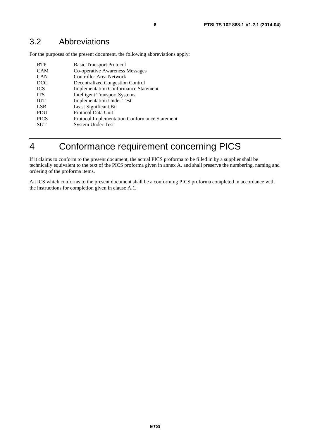For the purposes of the present document, the following abbreviations apply:

| <b>BTP</b>  | <b>Basic Transport Protocol</b>                      |
|-------------|------------------------------------------------------|
| <b>CAM</b>  | Co-operative Awareness Messages                      |
| <b>CAN</b>  | <b>Controller Area Network</b>                       |
| <b>DCC</b>  | <b>Decentralized Congestion Control</b>              |
| <b>ICS</b>  | <b>Implementation Conformance Statement</b>          |
| <b>ITS</b>  | <b>Intelligent Transport Systems</b>                 |
| <b>IUT</b>  | <b>Implementation Under Test</b>                     |
| <b>LSB</b>  | Least Significant Bit                                |
| <b>PDU</b>  | Protocol Data Unit                                   |
| <b>PICS</b> | <b>Protocol Implementation Conformance Statement</b> |
| <b>SUT</b>  | <b>System Under Test</b>                             |
|             |                                                      |

# 4 Conformance requirement concerning PICS

If it claims to conform to the present document, the actual PICS proforma to be filled in by a supplier shall be technically equivalent to the text of the PICS proforma given in annex A, and shall preserve the numbering, naming and ordering of the proforma items.

An ICS which conforms to the present document shall be a conforming PICS proforma completed in accordance with the instructions for completion given in clause A.1.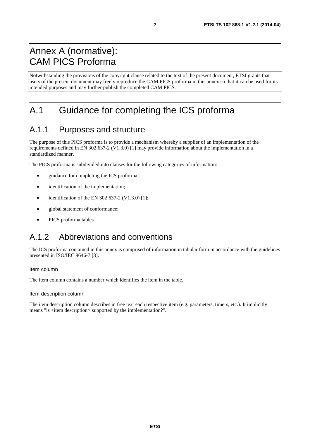### Annex A (normative): CAM PICS Proforma

Notwithstanding the provisions of the copyright clause related to the text of the present document, ETSI grants that users of the present document may freely reproduce the CAM PICS proforma in this annex so that it can be used for its intended purposes and may further publish the completed CAM PICS.

# A.1 Guidance for completing the ICS proforma

### A.1.1 Purposes and structure

The purpose of this PICS proforma is to provide a mechanism whereby a supplier of an implementation of the requirements defined in EN 302 637-2 (V1.3.0) [1] may provide information about the implementation in a standardized manner.

The PICS proforma is subdivided into clauses for the following categories of information:

- guidance for completing the ICS proforma;
- identification of the implementation:
- identification of the EN 302 637-2 (V1.3.0) [1];
- global statement of conformance;
- PICS proforma tables.

### A.1.2 Abbreviations and conventions

The ICS proforma contained in this annex is comprised of information in tabular form in accordance with the guidelines presented in ISO/IEC 9646-7 [3].

#### Item column

The item column contains a number which identifies the item in the table.

Item description column

The item description column describes in free text each respective item (e.g. parameters, timers, etc.). It implicitly means "is <item description> supported by the implementation?".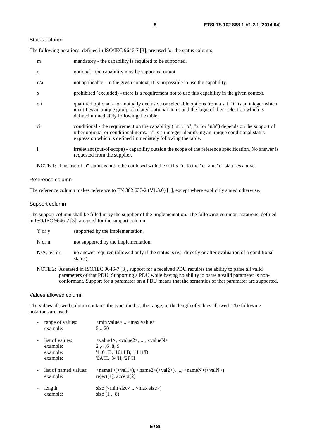#### Status column

The following notations, defined in ISO/IEC 9646-7 [3], are used for the status column:

| m            | mandatory - the capability is required to be supported.                                                                                                                                                                                                               |
|--------------|-----------------------------------------------------------------------------------------------------------------------------------------------------------------------------------------------------------------------------------------------------------------------|
| $\mathbf{O}$ | optional - the capability may be supported or not.                                                                                                                                                                                                                    |
| n/a          | not applicable - in the given context, it is impossible to use the capability.                                                                                                                                                                                        |
| $\mathbf{X}$ | prohibited (excluded) - there is a requirement not to use this capability in the given context.                                                                                                                                                                       |
| $0.\dot{1}$  | qualified optional - for mutually exclusive or selectable options from a set. "i" is an integer which<br>identifies an unique group of related optional items and the logic of their selection which is<br>defined immediately following the table.                   |
| ci           | conditional - the requirement on the capability ("m", "o", "x" or "n/a") depends on the support of<br>other optional or conditional items. "i" is an integer identifying an unique conditional status<br>expression which is defined immediately following the table. |
| $\mathbf{i}$ | irrelevant (out-of-scope) - capability outside the scope of the reference specification. No answer is<br>requested from the supplier.                                                                                                                                 |

NOTE 1: This use of "i" status is not to be confused with the suffix "i" to the "o" and "c" statuses above.

#### Reference column

The reference column makes reference to EN 302 637-2 (V1.3.0) [1], except where explicitly stated otherwise.

#### Support column

The support column shall be filled in by the supplier of the implementation. The following common notations, defined in ISO/IEC 9646-7 [3], are used for the support column:

| supported by the implementation. |
|----------------------------------|
|                                  |

N or n not supported by the implementation.

- $N/A$ , n/a or no answer required (allowed only if the status is n/a, directly or after evaluation of a conditional status).
- NOTE 2: As stated in ISO/IEC 9646-7 [3], support for a received PDU requires the ability to parse all valid parameters of that PDU. Supporting a PDU while having no ability to parse a valid parameter is nonconformant. Support for a parameter on a PDU means that the semantics of that parameter are supported.

#### Values allowed column

The values allowed column contains the type, the list, the range, or the length of values allowed. The following notations are used:

| range of values:<br>example:                        | $\leq$ min value $\geq$ $\leq$ max value $\geq$<br>520                                                                                                                                                      |
|-----------------------------------------------------|-------------------------------------------------------------------------------------------------------------------------------------------------------------------------------------------------------------|
| list of values:<br>example:<br>example:<br>example: | $\langle \text{value1}\rangle, \langle \text{value2}\rangle, , \langle \text{valueN}\rangle$<br>2, 4, 6, 8, 9<br>$'1101'B$ , $'1011'B$ , $'1111'B$<br>'0A'H, '34'H, '2F'H                                   |
| list of named values:<br>example:                   | $\langle \text{name1}\rangle(\langle \text{val1}\rangle)$ , $\langle \text{name2}\rangle(\langle \text{val2}\rangle)$ , , $\langle \text{nameN}\rangle(\langle \text{valN}\rangle)$<br>reject(1), accept(2) |
| length:<br>example:                                 | size $(\text{cm} \cdot \text{size} \times \text{cm} \cdot \text{max} \cdot \text{size})$<br>size $(18)$                                                                                                     |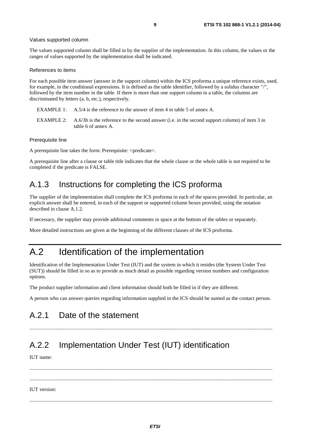#### Values supported column

The values supported column shall be filled in by the supplier of the implementation. In this column, the values or the ranges of values supported by the implementation shall be indicated.

#### References to items

For each possible item answer (answer in the support column) within the ICS proforma a unique reference exists, used, for example, in the conditional expressions. It is defined as the table identifier, followed by a solidus character "/", followed by the item number in the table. If there is more than one support column in a table, the columns are discriminated by letters (a, b, etc.), respectively.

- EXAMPLE 1: A.5/4 is the reference to the answer of item 4 in table 5 of annex A.
- EXAMPLE 2: A.6/3b is the reference to the second answer (i.e. in the second support column) of item 3 in table 6 of annex A.

#### Prerequisite line

A prerequisite line takes the form: Prerequisite: <predicate>.

A prerequisite line after a clause or table title indicates that the whole clause or the whole table is not required to be completed if the predicate is FALSE.

### A.1.3 Instructions for completing the ICS proforma

The supplier of the implementation shall complete the ICS proforma in each of the spaces provided. In particular, an explicit answer shall be entered, in each of the support or supported column boxes provided, using the notation described in clause A.1.2.

If necessary, the supplier may provide additional comments in space at the bottom of the tables or separately.

More detailed instructions are given at the beginning of the different clauses of the ICS proforma.

### A.2 Identification of the implementation

Identification of the Implementation Under Test (IUT) and the system in which it resides (the System Under Test (SUT)) should be filled in so as to provide as much detail as possible regarding version numbers and configuration options.

The product supplier information and client information should both be filled in if they are different.

A person who can answer queries regarding information supplied in the ICS should be named as the contact person.

### A.2.1 Date of the statement

.........................................................................................................................................................................................

### A.2.2 Implementation Under Test (IUT) identification

IUT name:

 ......................................................................................................................................................................................... ......................................................................................................................................................................................... IUT version: .........................................................................................................................................................................................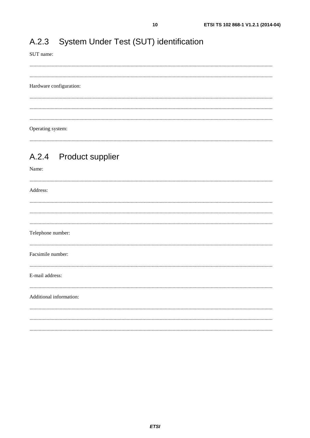#### System Under Test (SUT) identification  $A.2.3$

SUT name:

Hardware configuration:

Operating system:

#### **Product supplier**  $A.2.4$

Name: Address: Telephone number: Facsimile number: E-mail address: Additional information: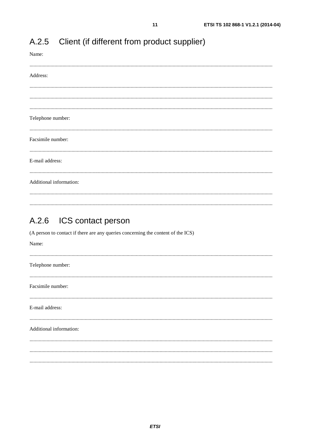| Name:                   |
|-------------------------|
| Address:                |
|                         |
|                         |
|                         |
| Telephone number:       |
|                         |
| Facsimile number:       |
|                         |
| E-mail address:         |
|                         |
| Additional information: |
|                         |
|                         |

#### $A.2.5$ Client (if different from product supplier)

#### $A.2.6$ ICS contact person

(A person to contact if there are any queries concerning the content of the ICS)

| Name:                   |  |
|-------------------------|--|
| Telephone number:       |  |
| Facsimile number:       |  |
| E-mail address:         |  |
| Additional information: |  |
|                         |  |
|                         |  |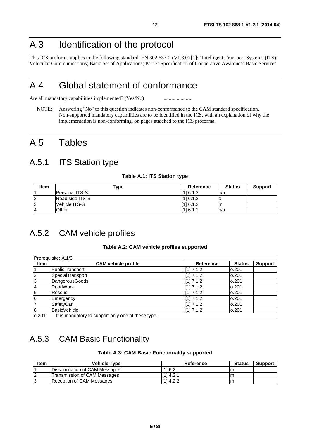### A.3 Identification of the protocol

This ICS proforma applies to the following standard: EN 302 637-2 (V1.3.0) [1]: "Intelligent Transport Systems (ITS); Vehicular Communications; Basic Set of Applications; Part 2: Specification of Cooperative Awareness Basic Service".

### A.4 Global statement of conformance

Are all mandatory capabilities implemented? (Yes/No) ............................

NOTE: Answering "No" to this question indicates non-conformance to the CAM standard specification. Non-supported mandatory capabilities are to be identified in the ICS, with an explanation of why the implementation is non-conforming, on pages attached to the ICS proforma.

### A.5 Tables

### A.5.1 ITS Station type

#### **Table A.1: ITS Station type**

| <b>Item</b> | $\mathsf{v}$ ype       | <b>Reference</b> | <b>Status</b> | <b>Support</b> |
|-------------|------------------------|------------------|---------------|----------------|
|             | <b>IPersonal ITS-S</b> | [11 6.1.2        | ln/a          |                |
|             | Road side ITS-S        | [11 6.1.2]       |               |                |
| ن ا         | lVehicle ITS-S         | [11 6.1.2]       | lm.           |                |
| 14          | Other                  | [116.1.2]        | ln/a          |                |

### A.5.2 CAM vehicle profiles

#### **Table A.2: CAM vehicle profiles supported**

|                | Prerequisite: A.1/3                                |                  |               |                |
|----------------|----------------------------------------------------|------------------|---------------|----------------|
| <b>Item</b>    | <b>CAM vehicle profile</b>                         | <b>Reference</b> | <b>Status</b> | <b>Support</b> |
|                | PublicTransport                                    | [1] 7.1.2        | 0.201         |                |
| $\overline{2}$ | SpecialTransport                                   | [1] 7.1.2        | 0.201         |                |
| 3              | <b>DangerousGoods</b>                              | [1] 7.1.2        | 0.201         |                |
| 4              | RoadWork                                           | $[1]$ 7.1.2      | 0.201         |                |
| $\overline{5}$ | Rescue                                             | [1] 7.1.2        | 0.201         |                |
| 6              | Emergency                                          | [1] 7.1.2        | 0.201         |                |
| 7              | SafetyCar                                          | [1] 7.1.2        | 0.201         |                |
| 8              | BasicVehicle                                       | $[1]$ 7.1.2      | 0.201         |                |
| lo.201:        | It is mandatory to support only one of these type. |                  |               |                |

# A.5.3 CAM Basic Functionality

#### **Table A.3: CAM Basic Functionality supported**

| ltem | <b>Vehicle Type</b>           | Reference   | <b>Status</b> | <b>Support</b> |
|------|-------------------------------|-------------|---------------|----------------|
|      | Dissemination of CAM Messages | [116.2]     |               |                |
| 12   | Transmission of CAM Messages  | li 11 4.2.1 |               |                |
| פי   | Reception of CAM Messages     | [1] 4.2.2   | Im            |                |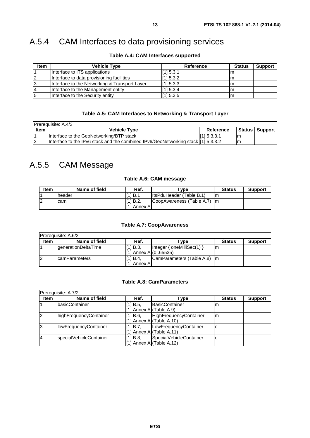### A.5.4 CAM Interfaces to data provisioning services

| <b>Item</b> | <b>Vehicle Type</b>                           | Reference   | <b>Status</b> | <b>Support</b> |
|-------------|-----------------------------------------------|-------------|---------------|----------------|
|             | Interface to ITS applications                 | [115.3.1]   | ım            |                |
| 12          | Interface to data provisioning facilities     | [1] 5.3.2   | ш             |                |
| 13          | Interface to the Networking & Transport Layer | $[1]$ 5.3.3 |               |                |
| 14          | Interface to the Management entity            | [1] 5.3.4   |               |                |
| 15          | Interface to the Security entity              | [11] 5.3.5  |               |                |

#### **Table A.4: CAM Interfaces supported**

#### **Table A.5: CAM Interfaces to Networking & Transport Layer**

|                | <b>Prerequisite: A.4/3</b>                                                         |                  |    |                  |
|----------------|------------------------------------------------------------------------------------|------------------|----|------------------|
| <b>Item</b>    | <b>Vehicle Type</b>                                                                | <b>Reference</b> |    | Status   Support |
|                | Interface to the GeoNetworking/BTP stack                                           | 111 5.3.3.1      | ım |                  |
| $\overline{2}$ | Interface to the IPv6 stack and the combined IPv6/GeoNetworking stack [11] 5.3.3.2 |                  | ım |                  |

### A.5.5 CAM Message

#### **Table A.6: CAM message**

| Item | Name of field | Ref.             | $^{\mathsf{v}}$ vpe        | <b>Status</b> | <b>Support</b> |
|------|---------------|------------------|----------------------------|---------------|----------------|
|      | lheader       | 1 B.1<br>lſ1     | IltsPduHeader (Table B.1)  | m             |                |
| 2    | cam           | [11B.2]          | ICoopAwareness (Table A.7) | Im            |                |
|      |               | l[1]<br>Annex Al |                            |               |                |

#### **Table A.7: CoopAwareness**

| Prereguisite: A.6/2 |                            |                                  |                              |               |                |  |  |
|---------------------|----------------------------|----------------------------------|------------------------------|---------------|----------------|--|--|
| <b>Item</b>         | Name of field              | Ref.                             | Tvpe                         | <b>Status</b> | <b>Support</b> |  |  |
|                     | <b>generationDeltaTime</b> | [11B.3]<br>[[1] Annex A](065535) | Integer { $oneMilliSec(1)$ } | m             |                |  |  |
| 2                   | <b>IcamParameters</b>      | II11 B.4.<br>l[1] Annex Al       | CamParameters (Table A.8) m  |               |                |  |  |

#### **Table A.8: CamParameters**

|             | Prerequisite: A.7/2          |            |                            |               |                |
|-------------|------------------------------|------------|----------------------------|---------------|----------------|
| <b>Item</b> | Name of field                | Ref.       | Type                       | <b>Status</b> | <b>Support</b> |
|             | basicContainer               | $[1]$ B.5, | <b>IBasicContainer</b>     | m             |                |
|             |                              |            | I] Annex Al(Table A.9)     |               |                |
| 2           | highFrequencyContainer       | [1] B.6,   | HighFrequencyContainer     | m             |                |
|             |                              |            | [1] Annex A $(Table A.10)$ |               |                |
| 3           | <b>IowFrequencyContainer</b> | [11 B.7.   | LowFrequencyContainer      | O             |                |
|             |                              |            | I] Annex Al(Table A.11)    |               |                |
| 14          | specialVehicleContainer      | [1] B.8.   | SpecialVehicleContainer    | O             |                |
|             |                              |            | [1] Annex A (Table A.12)   |               |                |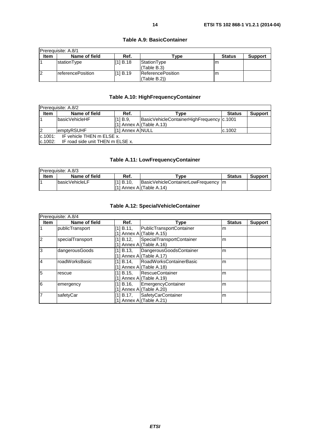#### **Table A.9: BasicContainer**

#### **Table A.10: HighFrequencyContainer**

| <b>Prerequisite: A.8/2</b>           |                                  |                  |                                             |               |                |  |
|--------------------------------------|----------------------------------|------------------|---------------------------------------------|---------------|----------------|--|
| <b>Item</b>                          | Name of field                    | Ref.             | Type                                        | <b>Status</b> | <b>Support</b> |  |
|                                      | basicVehicleHF                   | [11B.9]          | BasicVehicleContainerHighFrequency   c.1001 |               |                |  |
|                                      |                                  |                  | [1] Annex Al(Table A.13)                    |               |                |  |
| $\overline{2}$                       | emptyRSUHF                       | [1] Annex A NULL |                                             | c.1002        |                |  |
| IF vehicle THEN m ELSE x.<br>c.1001: |                                  |                  |                                             |               |                |  |
| lc.1002:                             | IF road side unit THEN m ELSE x. |                  |                                             |               |                |  |

#### **Table A.11: LowFrequencyContainer**

| Prerequisite: A.8/3 |                        |            |                                      |               |                |  |  |
|---------------------|------------------------|------------|--------------------------------------|---------------|----------------|--|--|
| <b>Item</b>         | Name of field          | Ref.       | $\mathsf{v}$ pe                      | <b>Status</b> | <b>Support</b> |  |  |
|                     | <b>IbasicVehicleLF</b> | II11 B.10. | BasicVehicleContainerLowFrequency Im |               |                |  |  |
|                     |                        |            | II11 Annex AI(Table A.14)            |               |                |  |  |

#### **Table A.12: SpecialVehicleContainer**

|                | Prerequisite: A.8/4 |                                          |                           |               |                |  |  |  |
|----------------|---------------------|------------------------------------------|---------------------------|---------------|----------------|--|--|--|
| <b>Item</b>    | Name of field       | Ref.                                     | Type                      | <b>Status</b> | <b>Support</b> |  |  |  |
|                | publicTransport     | [1] B.11,<br>[1] Annex A](Table A.15)    | PublicTransportContainer  | m             |                |  |  |  |
| 2              | specialTransport    | [1] B.12.<br>[1] Annex Al(Table A.16)    | SpecialTransportContainer | m             |                |  |  |  |
| 3              | dangerousGoods      | [1] B.13,<br>[1] Annex A (Table A.17)    | DangerousGoodsContainer   | m             |                |  |  |  |
| $\overline{A}$ | roadWorksBasic      | [1] B.14.<br>[1] Annex Al(Table A.18)    | lRoadWorksContainerBasic  | m             |                |  |  |  |
| 5              | rescue              | [1] B.15.<br>[1] Annex Al(Table A.19)    | <b>RescueContainer</b>    | m             |                |  |  |  |
| 6              | emergency           | [1] B.16.<br>Annex A (Table A.20)        | EmergencyContainer        | m             |                |  |  |  |
| 7              | safetyCar           | $[1] B.17$ ,<br>[1] Annex A (Table A.21) | SafetyCarContainer        | m             |                |  |  |  |

*ETSI*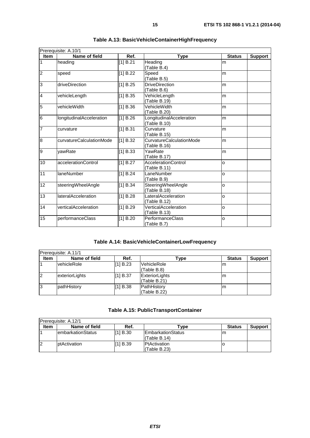|                  | Prerequisite: A.10/1            |          |                                                 |               |                |  |  |
|------------------|---------------------------------|----------|-------------------------------------------------|---------------|----------------|--|--|
| <b>Item</b>      | Name of field                   | Ref.     | <b>Type</b>                                     | <b>Status</b> | <b>Support</b> |  |  |
| $\overline{1}$   | heading                         | [1] B.21 | Heading<br>(Table B.4)                          | m             |                |  |  |
| $\overline{2}$   | speed                           | [1] B.22 | Speed<br>(Table B.5)                            | m             |                |  |  |
| 3                | driveDirection                  | [1] B.25 | <b>DriveDirection</b><br>(Table B.6)            | m             |                |  |  |
| 4                | vehicleLength                   | [1] B.35 | VehicleLength<br>(Table B.19)                   | m             |                |  |  |
| $\overline{5}$   | vehicleWidth                    | [1] B.36 | VehicleWidth<br>(Table B.20)                    | m             |                |  |  |
| $6\phantom{.}6$  | <b>longitudinalAcceleration</b> | [1] B.26 | LongitudinalAcceleration<br>(Table B.10)        | m             |                |  |  |
| 7                | curvature                       | [1] B.31 | Curvature<br>(Table B.15)                       | m             |                |  |  |
| $\boldsymbol{8}$ | curvatureCalculationMode        | [1] B.32 | <b>CurvatureCalculationMode</b><br>(Table B.16) | m             |                |  |  |
| 9                | vawRate                         | [1] B.33 | YawRate<br>(Table B.17)                         | m             |                |  |  |
| 10               | accelerationControl             | [1] B.27 | AccelerationControl<br>(Table B.11)             | $\Omega$      |                |  |  |
| 11               | laneNumber                      | [1] B.24 | LaneNumber<br>(Table B.9)                       | o             |                |  |  |
| 12               | steeringWheelAngle              | [1] B.34 | SteeringWheelAngle<br>(Table B.18)              | O             |                |  |  |
| 13               | <b>lateralAcceleration</b>      | [1] B.28 | LateralAcceleration<br>(Table B.12)             | lo.           |                |  |  |
| 14               | verticalAcceleration            | [1] B.29 | VerticalAcceleration<br>(Table B.13)            | O             |                |  |  |
| 15               | performanceClass                | [1] B.20 | PerformanceClass<br>(Table B.7)                 | O             |                |  |  |

| Table A.13: BasicVehicleContainerHighFrequency |
|------------------------------------------------|
|------------------------------------------------|

#### **Table A.14: BasicVehicleContainerLowFrequency**

|             | Prerequisite: A.11/1 |          |                                |               |                |  |  |
|-------------|----------------------|----------|--------------------------------|---------------|----------------|--|--|
| <b>Item</b> | Name of field        | Ref.     | Гуре                           | <b>Status</b> | <b>Support</b> |  |  |
|             | <b>vehicleRole</b>   | [1] B.23 | VehicleRole<br>(Table B.8)     | ım            |                |  |  |
| l2          | exteriorLights       | [1] B.37 | ExteriorLights<br>(Table B.21) | lm.           |                |  |  |
| 13          | pathHistory          | [1] B.38 | PathHistory<br>(Table B.22)    | Im            |                |  |  |

|  |  |  | Table A.15: PublicTransportContainer |
|--|--|--|--------------------------------------|
|--|--|--|--------------------------------------|

| Prerequisite: A.12/1 |                           |           |                                           |               |                |  |
|----------------------|---------------------------|-----------|-------------------------------------------|---------------|----------------|--|
| <b>Item</b>          | Name of field             | Ref.      | Type                                      | <b>Status</b> | <b>Support</b> |  |
|                      | <b>lembarkationStatus</b> | [11 B.30] | <b>IEmbarkationStatus</b><br>(Table B.14) | m             |                |  |
| 12                   | ptActivation              | [1] B.39  | <b>PtActivation</b><br>l(Table B.23)      |               |                |  |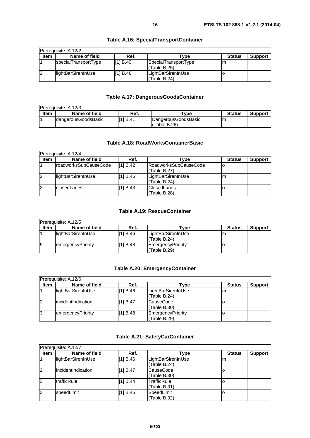| Prerequisite: A.12/2 |                      |          |                                      |               |                |  |
|----------------------|----------------------|----------|--------------------------------------|---------------|----------------|--|
| <b>Item</b>          | Name of field        | Ref.     | Type                                 | <b>Status</b> | <b>Support</b> |  |
|                      | specialTransportType | II1 B.40 | SpecialTransportType<br>(Table B.25) | m             |                |  |
| 12                   | llightBarSirenInUse  | [1] B.46 | LightBarSirenInUse<br>l(Table B.24)  |               |                |  |

#### **Table A.16: SpecialTransportContainer**

#### **Table A.17: DangerousGoodsContainer**

|      | <b>IPrerequisite: A.12/3</b> |          |                                       |               |                |
|------|------------------------------|----------|---------------------------------------|---------------|----------------|
| Item | Name of field                | Ref.     | vpe ⊺                                 | <b>Status</b> | <b>Support</b> |
|      | IdangerousGoodsBasic         | [1] B.41 | DangerousGoodsBasic<br>'Table B.26) l | m             |                |

#### **Table A.18: RoadWorksContainerBasic**

|                | Prereguisite: A.12/4  |          |                                        |               |                |
|----------------|-----------------------|----------|----------------------------------------|---------------|----------------|
| <b>Item</b>    | Name of field         | Ref.     | Type                                   | <b>Status</b> | <b>Support</b> |
|                | roadworksSubCauseCode | [1] B.42 | lRoadworksSubCauseCode<br>(Table B.27) |               |                |
| $\overline{2}$ | lightBarSirenInUse    | [1] B.46 | LightBarSirenInUse<br>(Table B.24)     | m             |                |
| l3             | lclosedLanes          | [1] B.43 | <b>IClosedLanes</b><br>(Table B.28)    |               |                |

#### **Table A.19: RescueContainer**

|             | Prerequisite: A.12/5 |          |                                     |               |                |  |
|-------------|----------------------|----------|-------------------------------------|---------------|----------------|--|
| <b>Item</b> | Name of field        | Ref.     | ${\sf \tau}$ vpe                    | <b>Status</b> | <b>Support</b> |  |
|             | lightBarSirenInUse   | [1] B.46 | LightBarSirenInUse<br>l(Table B.24) | m             |                |  |
| 19          | emergencyPriority    | [1] B.48 | EmergencyPriority<br>l(Table B.29)  |               |                |  |

#### **Table A.20: EmergencyContainer**

|             | Prerequisite: A.12/6 |          |                                    |               |                |  |
|-------------|----------------------|----------|------------------------------------|---------------|----------------|--|
| <b>Item</b> | Name of field        | Ref.     | Type                               | <b>Status</b> | <b>Support</b> |  |
|             | lightBarSirenInUse   | [1] B.46 | LightBarSirenInUse<br>(Table B.24) | m             |                |  |
| 12          | lincidentIndication  | [1] B.47 | <b>CauseCode</b><br>(Table B.30)   |               |                |  |
| 13          | emergencyPriority    | [1] B.48 | EmergencyPriority<br>(Table B.29)  |               |                |  |

#### **Table A.21: SafetyCarContainer**

|             | <b>Prerequisite: A.12/7</b> |          |                                   |               |                |  |
|-------------|-----------------------------|----------|-----------------------------------|---------------|----------------|--|
| <b>Item</b> | Name of field               | Ref.     | Type                              | <b>Status</b> | <b>Support</b> |  |
|             | lightBarSirenInUse          | [1] B.46 | LightBarSirenInUse<br>Table B.24) | m             |                |  |
| l2          | lincidentIndication         | [11B.47] | CauseCode<br>(Table B.30)         |               |                |  |
| 13          | <b>ItrafficRule</b>         | [1] B.44 | TrafficRule<br>Table B.31)        |               |                |  |
| 13          | speedLimit                  | [1] B.45 | SpeedLimit<br>(Table B.32)        |               |                |  |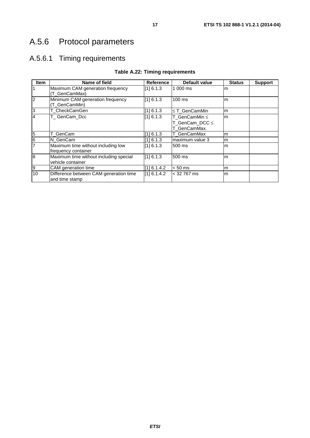# A.5.6 Protocol parameters

### A.5.6.1 Timing requirements

| <b>Item</b>    | Name of field                                               | <b>Reference</b> | <b>Default value</b>                            | <b>Status</b> | <b>Support</b> |
|----------------|-------------------------------------------------------------|------------------|-------------------------------------------------|---------------|----------------|
| $\overline{1}$ | Maximum CAM generation frequency<br>(T_GenCamMax)           | [1] 6.1.3        | 1 000 ms                                        | m             |                |
| $\overline{2}$ | Minimum CAM generation frequency<br>(T_GenCamMin)           | [1] 6.1.3        | $100$ ms                                        | m             |                |
| 3              | T CheckCamGen                                               | [1] 6.1.3        | ≤ T_GenCamMin                                   | m             |                |
| $\overline{4}$ | T_GenCam_Dcc                                                | [1] 6.1.3        | T_GenCamMin ≤<br>T_GenCam_DCC ≤<br>T_GenCamMax. | m             |                |
| 5              | T GenCam                                                    | [1] 6.1.3        | T_GenCamMax                                     | m             |                |
| $\frac{6}{7}$  | N_GenCam                                                    | [1] 6.1.3        | maximum value 3                                 | m             |                |
|                | Maximum time without including low<br>frequency container   | [1] 6.1.3        | 500 ms                                          | m             |                |
| 8              | Maximum time without including special<br>vehicle container | [1] 6.1.3        | 500 ms                                          | m             |                |
| $\overline{9}$ | CAM generation time                                         | [1] 6.1.4.2      | $< 50$ ms                                       | m             |                |
| 10             | Difference between CAM generation time<br>and time stamp    | [1] 6.1.4.2      | $<$ 32 767 ms                                   | m             |                |

#### **Table A.22: Timing requirements**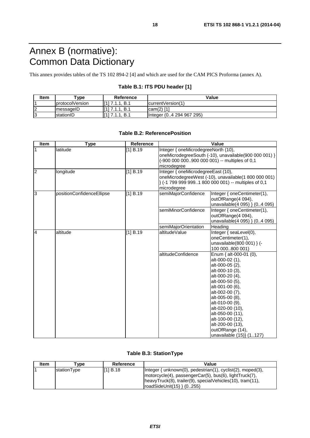# Annex B (normative): Common Data Dictionary

This annex provides tables of the TS 102 894-2 [4] and which are used for the CAM PICS Proforma (annex A).

#### **Table B.1: ITS PDU header [1]**

| ltem    | "ype                    | <b>Reference</b>                    | Value                    |
|---------|-------------------------|-------------------------------------|--------------------------|
|         | <b>IprotocolVersion</b> | <b>641</b><br>B.1<br>$\overline{ }$ | currentVersion(1)        |
| ır<br>◢ | ImessageID              | [1] 7 1 1<br><b>B.1</b>             | $lcam(2)$ [1]            |
| ıc<br>◡ | IstationID              | T11.<br>B.1<br>711                  | Integer (04 294 967 295) |

#### **Table B.2: ReferencePosition**

| Item           | <b>Type</b>               | Reference |                                                                                                                                                                  | Value                                                                                                                                                                                                                                                                                                                             |  |
|----------------|---------------------------|-----------|------------------------------------------------------------------------------------------------------------------------------------------------------------------|-----------------------------------------------------------------------------------------------------------------------------------------------------------------------------------------------------------------------------------------------------------------------------------------------------------------------------------|--|
| $\mathbf{1}$   | latitude                  | [1] B.19  | Integer { oneMicrodegreeNorth (10),<br>(-900 000 000900 000 001) -- multiples of 0,1<br>microdegree                                                              | oneMicrodegreeSouth (-10), unavailable(900 000 001) }                                                                                                                                                                                                                                                                             |  |
| $\overline{2}$ | longitude                 | [1] B.19  | Integer { oneMicrodegreeEast (10),<br>oneMicrodegreeWest (-10), unavailable(1 800 000 001)<br>} (-1 799 999 9991 800 000 001) -- multiples of 0,1<br>microdegree |                                                                                                                                                                                                                                                                                                                                   |  |
| 3              | positionConfidenceEllipse | [1] B.19  | semiMajorConfidence                                                                                                                                              | Integer { oneCentimeter(1),<br>outOfRange(4 094),<br>unavailable(4 095) } (04 095)                                                                                                                                                                                                                                                |  |
|                |                           |           | semiMinorConfidence                                                                                                                                              | Integer { oneCentimeter(1),<br>outOfRange(4 094),<br>unavailable(4 095) } (04 095)                                                                                                                                                                                                                                                |  |
|                |                           |           | semiMajorOrientation                                                                                                                                             | Heading                                                                                                                                                                                                                                                                                                                           |  |
| 4              | altitude                  | [1] B.19  | altitudeValue                                                                                                                                                    | Integer { seaLevel(0),<br>oneCentimeter(1),<br>unavailable(800 001) } (-<br>100 000800 001)                                                                                                                                                                                                                                       |  |
|                |                           |           | altitudeConfidence                                                                                                                                               | Enum { alt-000-01 (0),<br>alt-000-02 (1),<br>alt-000-05 (2),<br>alt-000-10 (3),<br>alt-000-20 (4),<br>alt-000-50 (5),<br>alt-001-00 (6),<br>alt-002-00 (7),<br>alt-005-00 (8),<br>alt-010-00 (9),<br>alt-020-00 (10),<br>alt-050-00 (11),<br>alt-100-00 (12),<br>alt-200-00 (13),<br>outOfRange (14),<br>unavailable (15)} (1127) |  |

#### **Table B.3: StationType**

| Item | <b>Tvpe</b> | Reference | Value                                                                                                                                                                                                                    |
|------|-------------|-----------|--------------------------------------------------------------------------------------------------------------------------------------------------------------------------------------------------------------------------|
|      | stationType | [1] B.18  | $ $ Integer { unknown(0), pedestrian(1), cyclist(2), moped(3),<br>motorcycle(4), passengerCar(5), bus(6), lightTruck(7),<br>heavyTruck(8), trailer(9), specialVehicles(10), tram(11),<br>roadSideUnit $(15)$ } $(0.255)$ |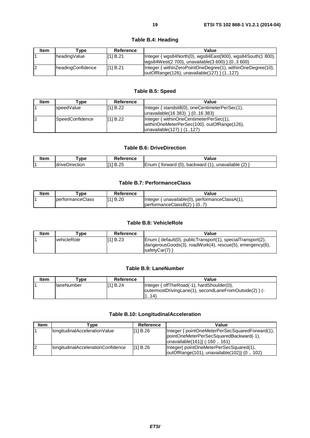| Item | vpe ⊺             | Reference | Value                                                                                                          |
|------|-------------------|-----------|----------------------------------------------------------------------------------------------------------------|
|      | headingValue      | [1] B.21  | Integer { wgs84North(0), wgs84East(900), wgs84South(1 800),<br>wgs84West(2 700), unavailable(3 600) } (03 600) |
|      | headingConfidence | [11B.21]  | Integer { withinZeroPointOneDegree(1), withinOneDegree(10),<br> outOfRange(126), unavailable(127) } (1127)     |

#### **Table B.4: Heading**

#### **Table B.5: Speed**

| Item           | Type            | Reference | Value                                            |
|----------------|-----------------|-----------|--------------------------------------------------|
|                | speedValue      | [1] B.22  | Integer { standstill(0), oneCentimeterPerSec(1), |
|                |                 |           | $ unavailable(16 383) \} (016 383)$              |
| $\overline{2}$ | SpeedConfidence | [11B.22]  | Integer { withinOneCentimeterPerSec(1),          |
|                |                 |           | withinOneMeterPerSec(100), outOfRange(126),      |
|                |                 |           | $ unavailable(127) \rangle (1127)$               |

#### **Table B.6: DriveDirection**

| Item           | <b>VDC</b>         |        | alue/                                                                    |
|----------------|--------------------|--------|--------------------------------------------------------------------------|
|                |                    | erence | _____                                                                    |
| $\overline{A}$ | Jirection<br>drive | ⌒      | $\sim$<br>(0)<br>backward<br>num<br>torward<br>unavailable<br>$\epsilon$ |

#### **Table B.7: PerformanceClass**

| ltem | ™vpe                     | Reference | Value                                                                             |
|------|--------------------------|-----------|-----------------------------------------------------------------------------------|
|      | <b>IperformanceClass</b> | [11 B.20  | $ $ Integer { unavailable(0), performanceClassA(1),<br>$performanceClassB(2)$ { 0 |

#### **Table B.8: VehicleRole**

| <b>Item</b> | ™vpe         | Reference | Value                                                                                                                                    |
|-------------|--------------|-----------|------------------------------------------------------------------------------------------------------------------------------------------|
|             | IvehicleRole | [11 B.23  | Enum { default(0), publicTransport(1), specialTransport(2),<br>dangerousGoods(3), roadWork(4), rescue(5), emergency(6),<br>IsafetyCar(7) |

#### **Table B.9: LaneNumber**

| <b>Item</b> | "vpe        | Reference | Value                                                                                                         |
|-------------|-------------|-----------|---------------------------------------------------------------------------------------------------------------|
|             | llaneNumber | [11 B.24  | Integer { offTheRoad(-1), hardShoulder(0),<br> outermostDrivingLane(1), secondLaneFromOutside(2) } (-<br>1.14 |

#### **Table B.10: LongitudinalAcceleration**

| <b>Item</b> | <b>Type</b>                        | Reference | Value                                           |
|-------------|------------------------------------|-----------|-------------------------------------------------|
|             | IongitudinalAccelerationValue      | [1] B.26  | Integer { pointOneMeterPerSecSquaredForward(1), |
|             |                                    |           | pointOneMeterPerSecSquaredBackward(-1),         |
|             |                                    |           | unavailable(161) { -160  161)                   |
| 12          | IongitudinalAccelerationConfidence | [11B.26]  | Integer{ pointOneMeterPerSecSquared(1),         |
|             |                                    |           | outOfRange(101), unavailable(102)} (0  102)     |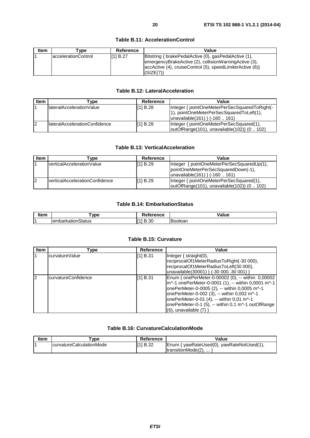| <b>Item</b> | <b>Tvpe</b>         | Reference | Value                                                                                                                                                                                   |
|-------------|---------------------|-----------|-----------------------------------------------------------------------------------------------------------------------------------------------------------------------------------------|
|             | accelerationControl | II11 B.27 | Bitstring { brakePedalActive (0), gasPedalActive (1),<br>emergencyBrakeActive (2), collisionWarningActive (3),<br>accActive (4), cruiseControl (5), speedLimiterActive (6)<br>(SIZE(7)) |

#### **Table B.11: AccelerationControl**

#### **Table B.12: LateralAcceleration**

| <b>Item</b> | Гvре                           | Reference | Value                                                                                    |
|-------------|--------------------------------|-----------|------------------------------------------------------------------------------------------|
|             | IlateralAccelerationValue      | [1] B.28  | Integer { pointOneMeterPerSecSquaredToRight(-                                            |
|             |                                |           | 1), pointOneMeterPerSecSquaredToLeft(1),                                                 |
|             |                                |           | $ $ unavailable $(161)$ } $(-160161)$                                                    |
| 12          | IlateralAccelerationConfidence | [1] B.28  | Integer { pointOneMeterPerSecSquared(1),<br> outOfRange(101), unavailable(102)} (0  102) |

#### **Table B.13: VerticalAcceleration**

| Item | vpe'                            | Reference | Value                                         |
|------|---------------------------------|-----------|-----------------------------------------------|
|      | verticalAccelerationValue       | [11B.29]  | { pointOneMeterPerSecSquaredUp(1),<br>Integer |
|      |                                 |           | pointOneMeterPerSecSquaredDown(-1),           |
|      |                                 |           | $ unavailable(161) \}$ (-160  161)            |
| 12   | IverticalAccelerationConfidence | [11B.29]  | Integer { pointOneMeterPerSecSquared(1),      |
|      |                                 |           | outOfRange(101), unavailable(102)} (0  102)   |

#### **Table B.14: EmbarkationStatus**

| $\blacksquare$ . The contract of the contract of the contract of the contract of the contract of the contract of the contract of the contract of the contract of the contract of the contract of the contract of the contract of the<br>ltem | <b>VDE</b>                         | wance<br>rence<br><br>. | 'alue<br>- --- -- - |
|----------------------------------------------------------------------------------------------------------------------------------------------------------------------------------------------------------------------------------------------|------------------------------------|-------------------------|---------------------|
| ٠                                                                                                                                                                                                                                            | $\sim$<br>`;tatus<br>TembarkationS | oc<br>טט.ט              | <b>Boolear</b>      |

#### **Table B.15: Curvature**

| <b>Item</b> | Type                | <b>Reference</b> | Value                                                                                                                                                                                                                                                                                                                                     |
|-------------|---------------------|------------------|-------------------------------------------------------------------------------------------------------------------------------------------------------------------------------------------------------------------------------------------------------------------------------------------------------------------------------------------|
|             | curvatureValue      | [1] B.31         | Integer $\{$ straight $(0)$ ,<br>reciprocalOf1MeterRadiusToRight(-30 000),<br>reciprocalOf1MeterRadiusToLeft(30 000),                                                                                                                                                                                                                     |
|             |                     |                  | unavailable(30001) } (-30 00030 001) }                                                                                                                                                                                                                                                                                                    |
| 2           | curvatureConfidence | [1] B.31         | Enum { onePerMeter-0-00002 (0), -- within 0,00002<br>m^-1 onePerMeter-0-0001 (1), -- within 0,0001 m^-1<br>onePerMeter-0-0005 (2), -- within 0,0005 m^-1<br>onePerMeter-0-002 (3), -- within 0,002 m^-1<br>onePerMeter-0-01 (4), -- within 0,01 m^-1<br>onePerMeter-0-1 (5), -- within 0,1 m^-1 outOfRange<br>$(6)$ , unavailable $(7)$ } |

#### **Table B.16: CurvatureCalculationMode**

| ltem | vpe'                      | Reference | Value                                     |
|------|---------------------------|-----------|-------------------------------------------|
|      | IcurvatureCalculationMode | [1] B.32  | Enum { yawRateUsed(0), yawRateNotUsed(1), |
|      |                           |           | ItransitionMode(2)                        |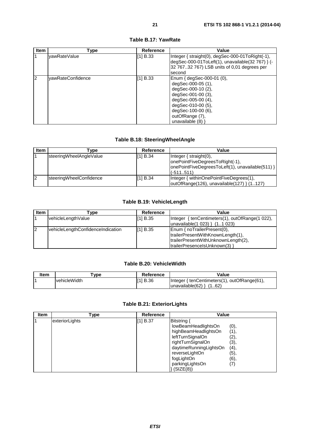| <b>Item</b>    | Type              | Reference | Value                                                                                                                                                                                                     |
|----------------|-------------------|-----------|-----------------------------------------------------------------------------------------------------------------------------------------------------------------------------------------------------------|
| $\overline{1}$ | vawRateValue      | [1] B.33  | Integer { straight(0), degSec-000-01ToRight(-1),<br>degSec-000-01ToLeft(1), unavailable(32 767) } (-<br>32 76732 767) LSB units of 0,01 degrees per<br>second                                             |
| $\overline{2}$ | yawRateConfidence | [1] B.33  | Enum { $degSec-000-01$ (0),<br>degSec-000-05 (1),<br>degSec-000-10 (2),<br>degSec-001-00 (3),<br>degSec-005-00 (4),<br>degSec-010-00 (5),<br>degSec-100-00 (6),<br>outOfRange (7),<br>unavailable $(8)$ } |

#### **Table B.17: YawRate**

#### **Table B.18: SteeringWheelAngle**

| <b>Item</b> | ⊺vpe                    | Reference | Value                                                           |
|-------------|-------------------------|-----------|-----------------------------------------------------------------|
|             | steeringWheelAngleValue | [1] B.34  | $Inter{f}$ straight $(0)$ ,<br>onePointFiveDegreesToRight(-1),  |
|             |                         |           | onePointFiveDegreesToLeft(1), unavailable(511) }<br>$(-511511)$ |
| 12          | steeringWheelConfidence | [1] B.34  | Integer { withinOnePointFiveDegrees(1),                         |
|             |                         |           | outOfRange(126), unavailable(127) } (1127)                      |

#### **Table B.19: VehicleLength**

| <b>Item</b> | Гуре                              | Reference | Value                                           |
|-------------|-----------------------------------|-----------|-------------------------------------------------|
|             | vehicleLengthValue                | [1] B.35  | Integer { tenCentimeters(1), outOfRange(1 022), |
|             |                                   |           | $ $ unavailable $(1 023)$ $(1.1 023)$           |
| 12          | vehicleLengthConfidenceIndication | [1] B.35  | Enum { noTrailerPresent(0),                     |
|             |                                   |           | trailerPresentWithKnownLength(1),               |
|             |                                   |           | trailerPresentWithUnknownLength(2),             |
|             |                                   |           | trailerPresenceIsUnknown(3) }                   |

#### **Table B.20: VehicleWidth**

| Item | vpe'         | Reference | Value                                                                    |
|------|--------------|-----------|--------------------------------------------------------------------------|
|      | vehicleWidth | II11 B.36 | Integer { tenCentimeters(1), outOfRange(61),<br> unavailable(62) <br>162 |

#### **Table B.21: ExteriorLights**

| <b>Item</b> | Type           | <b>Reference</b> | Value                  |                   |
|-------------|----------------|------------------|------------------------|-------------------|
|             | exteriorLights | [1] B.37         | Bitstring {            |                   |
|             |                |                  | lowBeamHeadlightsOn    | (0),              |
|             |                |                  | highBeamHeadlightsOn   | (1),              |
|             |                |                  | leftTurnSignalOn       | (2),              |
|             |                |                  | rightTurnSignalOn      | (3),              |
|             |                |                  | daytimeRunningLightsOn | (4),              |
|             |                |                  | reverseLightOn         | (5),              |
|             |                |                  | fogLightOn             | (6),              |
|             |                |                  | parkingLightsOn        | $\left( 7\right)$ |
|             |                |                  | (SIZE(8))              |                   |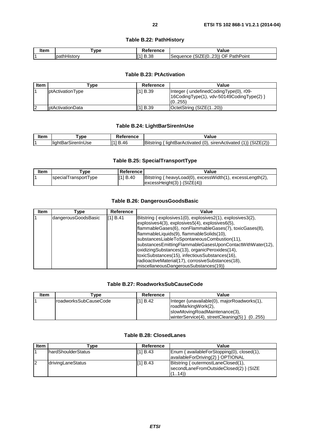#### **Table B.22: PathHistory**

| ltem | vpe)                             | nronoo<br>rence | alue/                                                                                                             |
|------|----------------------------------|-----------------|-------------------------------------------------------------------------------------------------------------------|
|      | $n^{\text{other}}$<br>والمتحادين | $\sim$<br>D.OC  | --<br>$- - -$<br>$\sim$ $-$<br>nn)<br>-<br>PathPoint<br>J⊦<br>. Ar<br>:SIZE(U23))<br>- 11 10 11<br>۱۲۰ ان<br>$-5$ |

#### **Table B.23: PtActivation**

| <b>Item</b> | ⊺vpe                      | Reference | Value                                                                                              |
|-------------|---------------------------|-----------|----------------------------------------------------------------------------------------------------|
|             | <b>ptActivationType</b>   | [1] B.39  | Integer { undefined Coding Type (0), r09-<br>[16CodingType(1), vdv-50149CodingType(2) }<br>(0.255) |
| 12          | <b>I</b> ptActivationData | [1] B.39  | OctetString (SIZE(120))                                                                            |

#### **Table B.24: LightBarSirenInUse**

| ltom<br>кетп | <b>VDE</b>                | ence               | /alue                                                                                                                                                                                                                       |
|--------------|---------------------------|--------------------|-----------------------------------------------------------------------------------------------------------------------------------------------------------------------------------------------------------------------------|
|              | .<br>⊟li∩h i<br>Jse<br>יי | ЛF<br>D<br>ги<br>◡ | (0.17777)<br>$\sqrt{2}$<br>.<br>$\overline{\phantom{a}}$<br>…Bar^<br>sirenAo<br>`ctivateo<br>strinc<br><b>ctivated</b><br>liahti<br>$\lambda$<br>. .<br>$\prime$ $\sim$<br>ורוו<br>$\cdots$ . $\cup$ 14 $\vdash$ 14, 14, 14 |

#### **Table B.25: SpecialTransportType**

| <b>Item</b> | vpe                  | l Reference l | Value                                                                                              |
|-------------|----------------------|---------------|----------------------------------------------------------------------------------------------------|
|             | specialTransportType | [1] B.40      | Bitstring { heavyLoad(0), excessWidth(1), excessLength(2),<br>$\left $ excessHeight(3) } (SIZE(4)) |

#### **Table B.26: DangerousGoodsBasic**

| <b>Item</b> | Type                | Reference | Value                                                       |
|-------------|---------------------|-----------|-------------------------------------------------------------|
|             | dangerousGoodsBasic | [1] B.41  | Bitstring { explosives1(0), explosives2(1), explosives3(2), |
|             |                     |           | $explosives4(3)$ , explosives $5(4)$ , explosives $6(5)$ ,  |
|             |                     |           | flammableGases(6), nonFlammableGases(7), toxicGases(8),     |
|             |                     |           | flammableLiquids(9), flammableSolids(10),                   |
|             |                     |           | substancesLiableToSpontaneousCombustion(11),                |
|             |                     |           | substancesEmittingFlammableGasesUponContactWithWater(12),   |
|             |                     |           | oxidizingSubstances(13), organicPeroxides(14),              |
|             |                     |           | toxicSubstances(15), infectiousSubstances(16),              |
|             |                     |           | radioactiveMaterial(17), corrosiveSubstances(18),           |
|             |                     |           | miscellaneousDangerousSubstances(19)}                       |

#### **Table B.27: RoadworksSubCauseCode**

| ltem | Tvpe :                 | Reference | Value                                                                                               |
|------|------------------------|-----------|-----------------------------------------------------------------------------------------------------|
|      | IroadworksSubCauseCode | [11 B.42] | Integer {unavailable(0), majorRoadworks(1),<br>roadMarkingWork(2),<br>slowMovingRoadMaintenance(3), |
|      |                        |           | $ $ winterService(4), streetCleaning(5) }<br>(0255)                                                 |

#### **Table B.28: ClosedLanes**

| <b>Item</b> | <b>Type</b>                | Reference | Value                                      |
|-------------|----------------------------|-----------|--------------------------------------------|
|             | <b>IhardShoulderStatus</b> | [1] B.43  | Enum { availableForStopping(0), closed(1), |
|             |                            |           | availableForDriving(2) } OPTIONAL          |
| 12          | drivingLaneStatus          | [1] B.43  | Bitstring { outermostLaneClosed(1),        |
|             |                            |           | secondLaneFromOutsideClosed(2) } (SIZE)    |
|             |                            |           | (114)                                      |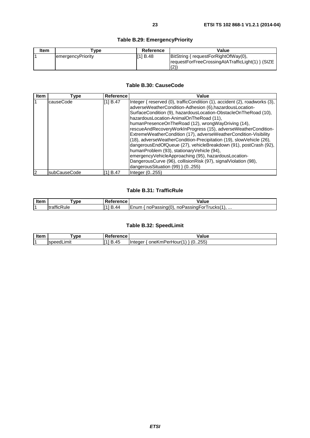| <b>Item</b> | Type              | Reference | Value                                            |
|-------------|-------------------|-----------|--------------------------------------------------|
|             | emergencyPriority | [1] B.48  | BitString { requestForRightOfWay(0),             |
|             |                   |           | requestForFreeCrossingAtATrafficLight(1) } (SIZE |
|             |                   |           | (2)                                              |

#### **Table B.30: CauseCode**

| <b>Item</b> | Type         | <b>Reference</b> | Value                                                                                                                                                                                                                                                                                                                                                                                                                                                                                                                                                                                                                                                                                                                                                                                                      |
|-------------|--------------|------------------|------------------------------------------------------------------------------------------------------------------------------------------------------------------------------------------------------------------------------------------------------------------------------------------------------------------------------------------------------------------------------------------------------------------------------------------------------------------------------------------------------------------------------------------------------------------------------------------------------------------------------------------------------------------------------------------------------------------------------------------------------------------------------------------------------------|
|             | causeCode    | [1] B.47         | Integer { reserved (0), trafficCondition (1), accident (2), roadworks (3),  <br>adverseWeatherCondition-Adhesion (6), hazardousLocation-<br>SurfaceCondition (9), hazardousLocation-ObstacleOnTheRoad (10),<br>hazardousLocation-AnimalOnTheRoad (11),<br>humanPresenceOnTheRoad (12), wrongWayDriving (14),<br>rescueAndRecoveryWorkInProgress (15), adverseWeatherCondition-<br>ExtremeWeatherCondition (17), adverseWeatherCondition-Visibility<br>(18), adverseWeatherCondition-Precipitation (19), slowVehicle (26),<br>dangerousEndOfQueue (27), vehicleBreakdown (91), postCrash (92),<br>humanProblem (93), stationaryVehicle (94),<br>emergencyVehicleApproaching (95), hazardousLocation-<br>DangerousCurve (96), collisionRisk (97), signalViolation (98),<br>dangerous Situation (99) } (0255) |
| 2           | subCauseCode | [11 B.47         | Integer (0255)                                                                                                                                                                                                                                                                                                                                                                                                                                                                                                                                                                                                                                                                                                                                                                                             |

#### **Table B.31: TrafficRule**

| Item | vpe                                              | $+2$<br>.         | .<br>anue                                                                     |
|------|--------------------------------------------------|-------------------|-------------------------------------------------------------------------------|
| J.   | $\cdots$<br>-<br>– i tr∽<br>≺ule<br>THC).<br>uai | -641<br>. .<br>44 | $\sim$<br>rucks(1،<br><b>I</b> Enum<br>noPassing(0)<br>۰or<br>noPassing⊦<br>. |

#### **Table B.32: SpeedLimit**

| Item | vpe"           | eterence        | . .<br>alue/                                            |
|------|----------------|-----------------|---------------------------------------------------------|
|      | Lımıt<br>speed | . .<br>ГИ<br>J. | (0255)<br>™Perhul<br>oneKi<br>'Hourt⊹<br>. נבודו<br>دءו |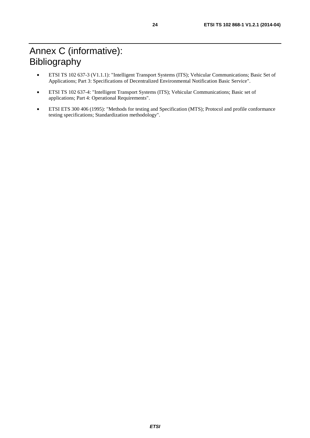- ETSI TS 102 637-3 (V1.1.1): "Intelligent Transport Systems (ITS); Vehicular Communications; Basic Set of Applications; Part 3: Specifications of Decentralized Environmental Notification Basic Service".
- ETSI TS 102 637-4: "Intelligent Transport Systems (ITS); Vehicular Communications; Basic set of applications; Part 4: Operational Requirements".
- ETSI ETS 300 406 (1995): "Methods for testing and Specification (MTS); Protocol and profile conformance testing specifications; Standardization methodology".